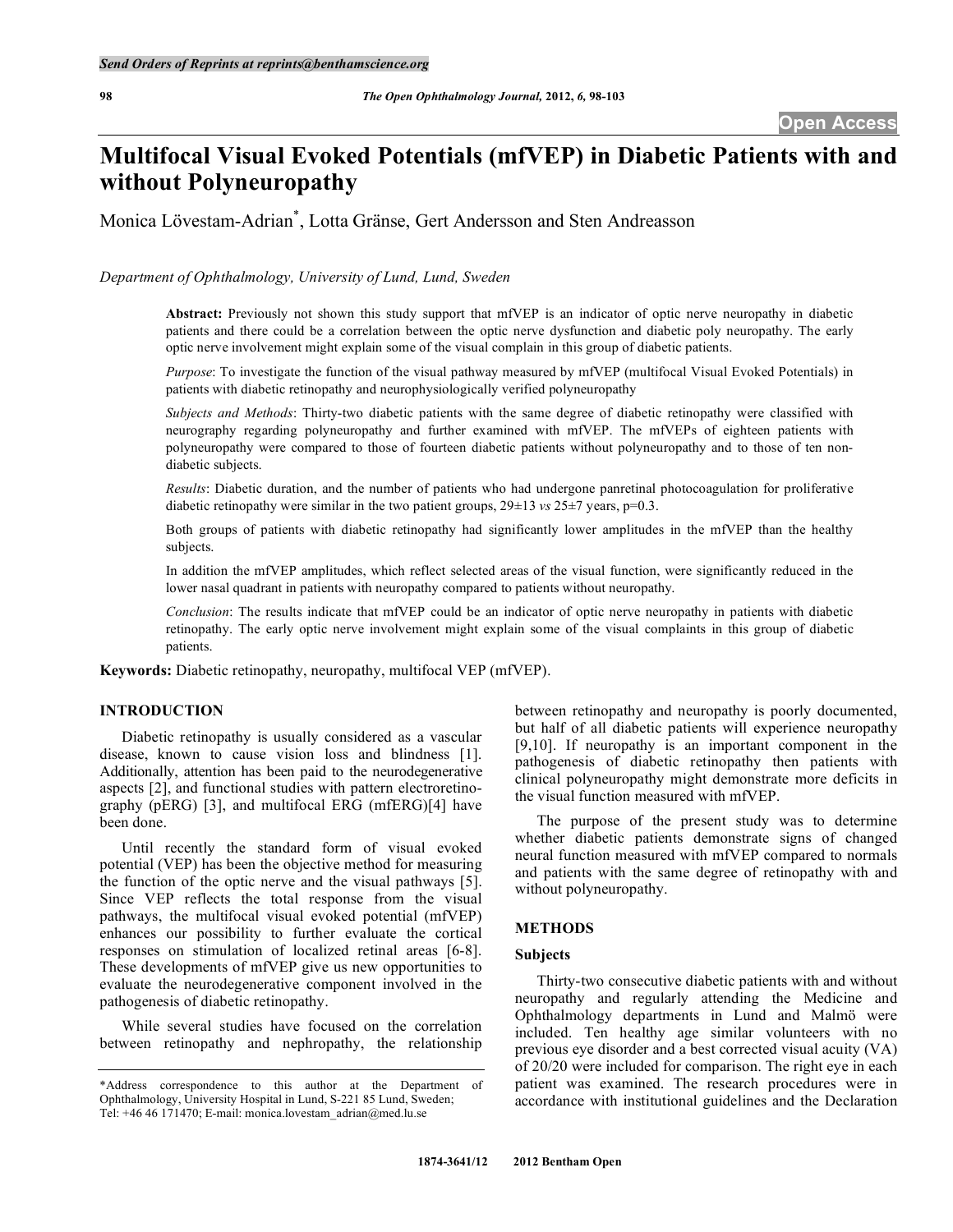# **Multifocal Visual Evoked Potentials (mfVEP) in Diabetic Patients with and without Polyneuropathy**

Monica Lövestam-Adrian\* , Lotta Gränse, Gert Andersson and Sten Andreasson

*Department of Ophthalmology, University of Lund, Lund, Sweden* 

**Abstract:** Previously not shown this study support that mfVEP is an indicator of optic nerve neuropathy in diabetic patients and there could be a correlation between the optic nerve dysfunction and diabetic poly neuropathy. The early optic nerve involvement might explain some of the visual complain in this group of diabetic patients.

*Purpose*: To investigate the function of the visual pathway measured by mfVEP (multifocal Visual Evoked Potentials) in patients with diabetic retinopathy and neurophysiologically verified polyneuropathy

*Subjects and Methods*: Thirty-two diabetic patients with the same degree of diabetic retinopathy were classified with neurography regarding polyneuropathy and further examined with mfVEP. The mfVEPs of eighteen patients with polyneuropathy were compared to those of fourteen diabetic patients without polyneuropathy and to those of ten nondiabetic subjects.

*Results*: Diabetic duration, and the number of patients who had undergone panretinal photocoagulation for proliferative diabetic retinopathy were similar in the two patient groups,  $29\pm13$  *vs*  $25\pm7$  years, p=0.3.

Both groups of patients with diabetic retinopathy had significantly lower amplitudes in the mfVEP than the healthy subjects.

In addition the mfVEP amplitudes, which reflect selected areas of the visual function, were significantly reduced in the lower nasal quadrant in patients with neuropathy compared to patients without neuropathy.

*Conclusion*: The results indicate that mfVEP could be an indicator of optic nerve neuropathy in patients with diabetic retinopathy. The early optic nerve involvement might explain some of the visual complaints in this group of diabetic patients.

**Keywords:** Diabetic retinopathy, neuropathy, multifocal VEP (mfVEP).

# **INTRODUCTION**

 Diabetic retinopathy is usually considered as a vascular disease, known to cause vision loss and blindness [1]. Additionally, attention has been paid to the neurodegenerative aspects [2], and functional studies with pattern electroretinography (pERG) [3], and multifocal ERG (mfERG)[4] have been done.

 Until recently the standard form of visual evoked potential (VEP) has been the objective method for measuring the function of the optic nerve and the visual pathways [5]. Since VEP reflects the total response from the visual pathways, the multifocal visual evoked potential (mfVEP) enhances our possibility to further evaluate the cortical responses on stimulation of localized retinal areas [6-8]. These developments of mfVEP give us new opportunities to evaluate the neurodegenerative component involved in the pathogenesis of diabetic retinopathy.

 While several studies have focused on the correlation between retinopathy and nephropathy, the relationship

between retinopathy and neuropathy is poorly documented, but half of all diabetic patients will experience neuropathy [9,10]. If neuropathy is an important component in the pathogenesis of diabetic retinopathy then patients with clinical polyneuropathy might demonstrate more deficits in the visual function measured with mfVEP.

 The purpose of the present study was to determine whether diabetic patients demonstrate signs of changed neural function measured with mfVEP compared to normals and patients with the same degree of retinopathy with and without polyneuropathy.

#### **METHODS**

#### **Subjects**

 Thirty-two consecutive diabetic patients with and without neuropathy and regularly attending the Medicine and Ophthalmology departments in Lund and Malmö were included. Ten healthy age similar volunteers with no previous eye disorder and a best corrected visual acuity (VA) of 20/20 were included for comparison. The right eye in each patient was examined. The research procedures were in accordance with institutional guidelines and the Declaration

<sup>\*</sup>Address correspondence to this author at the Department of Ophthalmology, University Hospital in Lund, S-221 85 Lund, Sweden; Tel: +46 46 171470; E-mail: monica.lovestam\_adrian@med.lu.se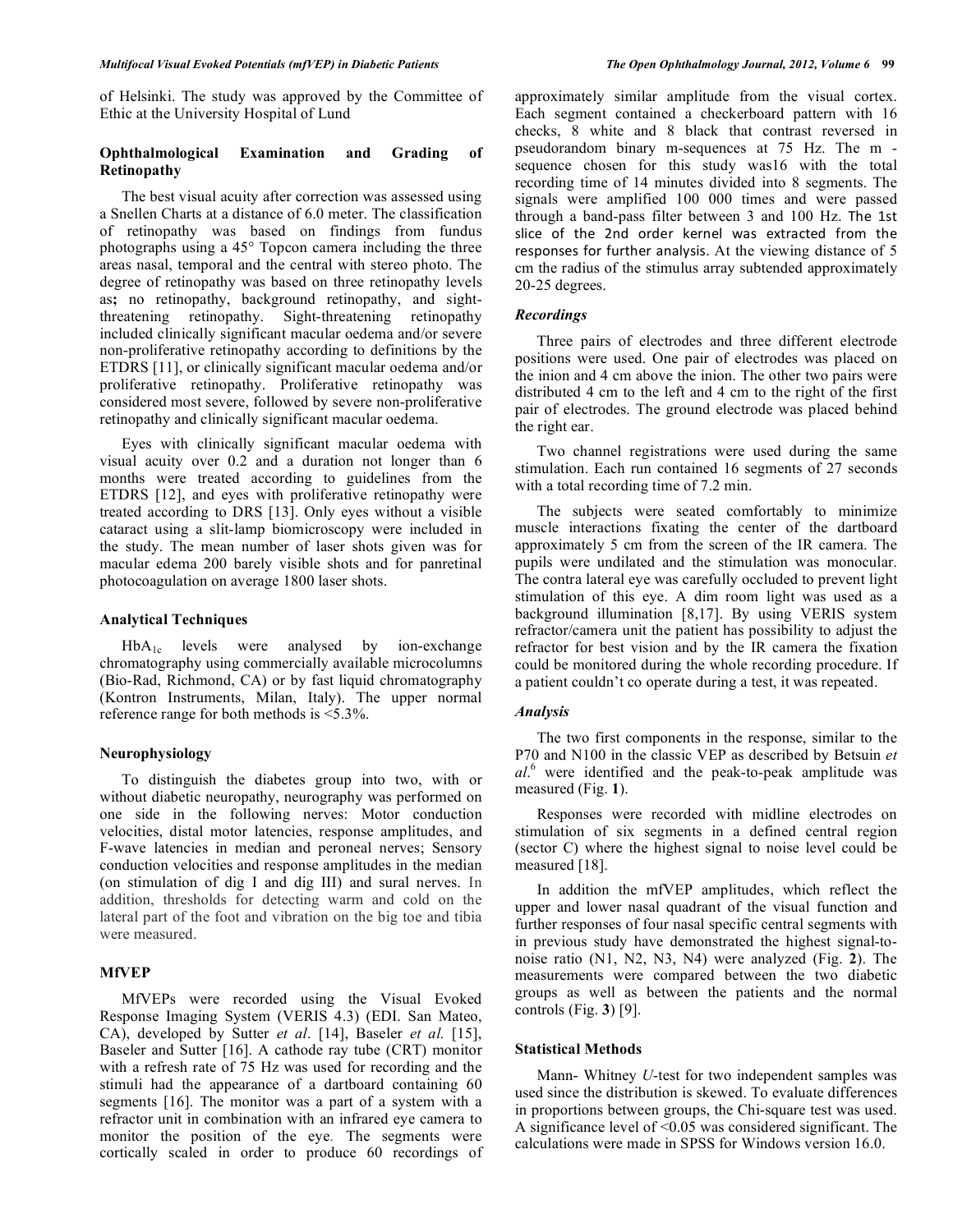of Helsinki. The study was approved by the Committee of Ethic at the University Hospital of Lund

# **Ophthalmological Examination and Grading of Retinopathy**

 The best visual acuity after correction was assessed using a Snellen Charts at a distance of 6.0 meter. The classification of retinopathy was based on findings from fundus photographs using a 45° Topcon camera including the three areas nasal, temporal and the central with stereo photo. The degree of retinopathy was based on three retinopathy levels as**;** no retinopathy, background retinopathy, and sightthreatening retinopathy. Sight-threatening retinopathy included clinically significant macular oedema and/or severe non-proliferative retinopathy according to definitions by the ETDRS [11], or clinically significant macular oedema and/or proliferative retinopathy. Proliferative retinopathy was considered most severe, followed by severe non-proliferative retinopathy and clinically significant macular oedema.

 Eyes with clinically significant macular oedema with visual acuity over 0.2 and a duration not longer than 6 months were treated according to guidelines from the ETDRS [12], and eyes with proliferative retinopathy were treated according to DRS [13]. Only eyes without a visible cataract using a slit-lamp biomicroscopy were included in the study. The mean number of laser shots given was for macular edema 200 barely visible shots and for panretinal photocoagulation on average 1800 laser shots.

#### **Analytical Techniques**

 $HbA_{1c}$  levels were analysed by ion-exchange chromatography using commercially available microcolumns (Bio-Rad, Richmond, CA) or by fast liquid chromatography (Kontron Instruments, Milan, Italy). The upper normal reference range for both methods is <5.3%.

# **Neurophysiology**

 To distinguish the diabetes group into two, with or without diabetic neuropathy, neurography was performed on one side in the following nerves: Motor conduction velocities, distal motor latencies, response amplitudes, and F-wave latencies in median and peroneal nerves; Sensory conduction velocities and response amplitudes in the median (on stimulation of dig I and dig III) and sural nerves. In addition, thresholds for detecting warm and cold on the lateral part of the foot and vibration on the big toe and tibia were measured.

# **MfVEP**

 MfVEPs were recorded using the Visual Evoked Response Imaging System (VERIS 4.3) (EDI. San Mateo, CA), developed by Sutter *et al*. [14], Baseler *et al.* [15], Baseler and Sutter [16]. A cathode ray tube (CRT) monitor with a refresh rate of 75 Hz was used for recording and the stimuli had the appearance of a dartboard containing 60 segments [16]. The monitor was a part of a system with a refractor unit in combination with an infrared eye camera to monitor the position of the eye. The segments were cortically scaled in order to produce 60 recordings of

approximately similar amplitude from the visual cortex. Each segment contained a checkerboard pattern with 16 checks, 8 white and 8 black that contrast reversed in pseudorandom binary m-sequences at 75 Hz. The m sequence chosen for this study was16 with the total recording time of 14 minutes divided into 8 segments. The signals were amplified 100 000 times and were passed through a band-pass filter between  $3$  and  $100$  Hz. The 1st slice of the 2nd order kernel was extracted from the responses for further analysis. At the viewing distance of 5 cm the radius of the stimulus array subtended approximately 20-25 degrees.

# *Recordings*

 Three pairs of electrodes and three different electrode positions were used. One pair of electrodes was placed on the inion and 4 cm above the inion. The other two pairs were distributed 4 cm to the left and 4 cm to the right of the first pair of electrodes. The ground electrode was placed behind the right ear.

 Two channel registrations were used during the same stimulation. Each run contained 16 segments of 27 seconds with a total recording time of 7.2 min.

 The subjects were seated comfortably to minimize muscle interactions fixating the center of the dartboard approximately 5 cm from the screen of the IR camera. The pupils were undilated and the stimulation was monocular. The contra lateral eye was carefully occluded to prevent light stimulation of this eye. A dim room light was used as a background illumination [8,17]. By using VERIS system refractor/camera unit the patient has possibility to adjust the refractor for best vision and by the IR camera the fixation could be monitored during the whole recording procedure. If a patient couldn't co operate during a test, it was repeated.

#### *Analysis*

 The two first components in the response, similar to the P70 and N100 in the classic VEP as described by Betsuin *et al*. 6 were identified and the peak-to-peak amplitude was measured (Fig. **1**).

 Responses were recorded with midline electrodes on stimulation of six segments in a defined central region (sector C) where the highest signal to noise level could be measured [18].

 In addition the mfVEP amplitudes, which reflect the upper and lower nasal quadrant of the visual function and further responses of four nasal specific central segments with in previous study have demonstrated the highest signal-tonoise ratio (N1, N2, N3, N4) were analyzed (Fig. **2**). The measurements were compared between the two diabetic groups as well as between the patients and the normal controls (Fig. **3**) [9].

# **Statistical Methods**

 Mann- Whitney *U*-test for two independent samples was used since the distribution is skewed. To evaluate differences in proportions between groups, the Chi-square test was used. A significance level of <0.05 was considered significant. The calculations were made in SPSS for Windows version 16.0.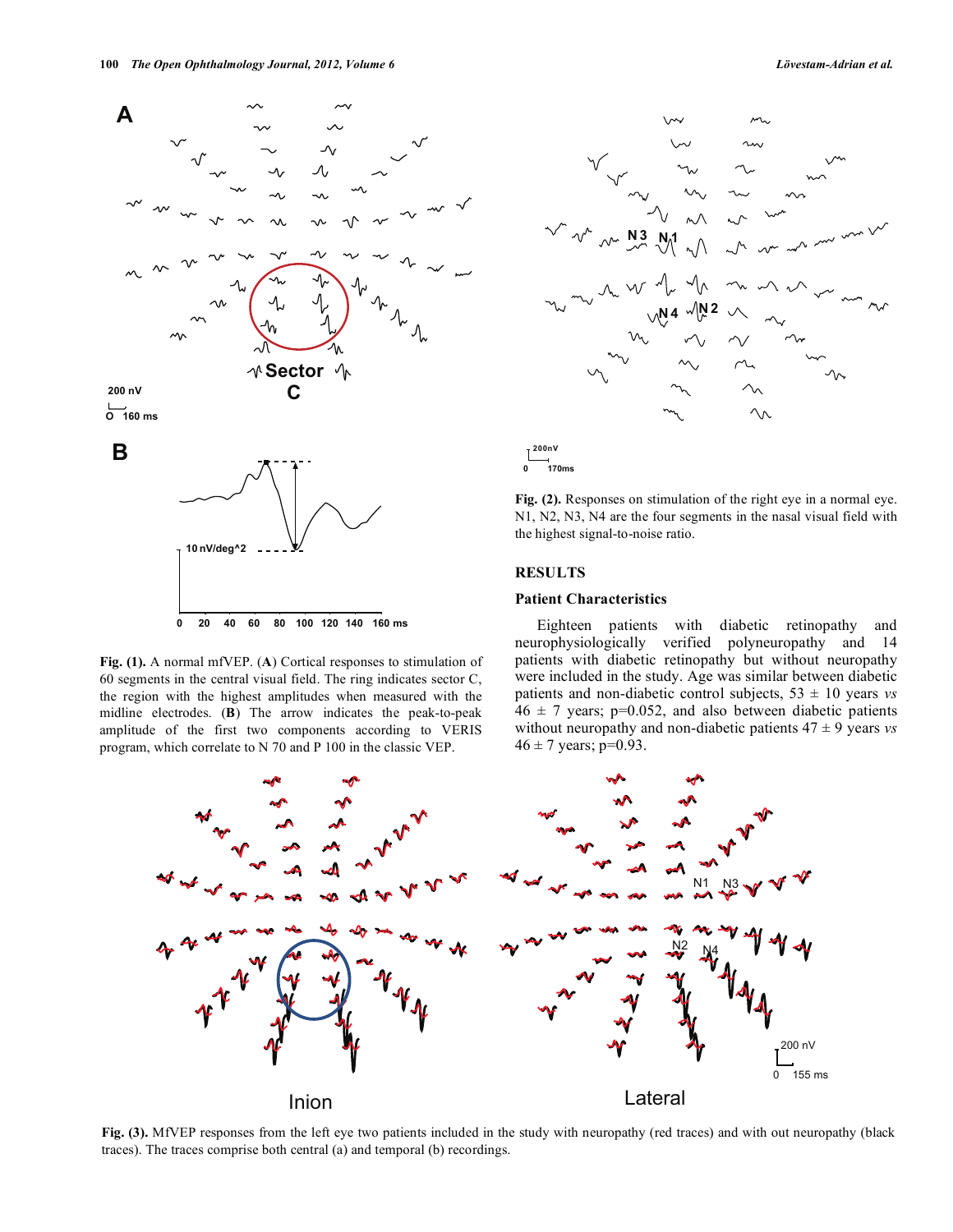

**Fig. (1).** A normal mfVEP. (**A**) Cortical responses to stimulation of 60 segments in the central visual field. The ring indicates sector C, the region with the highest amplitudes when measured with the midline electrodes. (**B**) The arrow indicates the peak-to-peak amplitude of the first two components according to VERIS program, which correlate to N 70 and P 100 in the classic VEP.



**-**170ms

**Fig. (2).** Responses on stimulation of the right eye in a normal eye. N1, N2, N3, N4 are the four segments in the nasal visual field with the highest signal-to-noise ratio.

# **RESULTS**

#### **Patient Characteristics**

 Eighteen patients with diabetic retinopathy and neurophysiologically verified polyneuropathy and 14 patients with diabetic retinopathy but without neuropathy were included in the study. Age was similar between diabetic patients and non-diabetic control subjects,  $53 \pm 10$  years *vs*  $46 \pm 7$  years; p=0.052, and also between diabetic patients without neuropathy and non-diabetic patients  $47 \pm 9$  years *vs*  $46 \pm 7$  years; p=0.93.



**Fig. (3).** MfVEP responses from the left eye two patients included in the study with neuropathy (red traces) and with out neuropathy (black traces). The traces comprise both central (a) and temporal (b) recordings.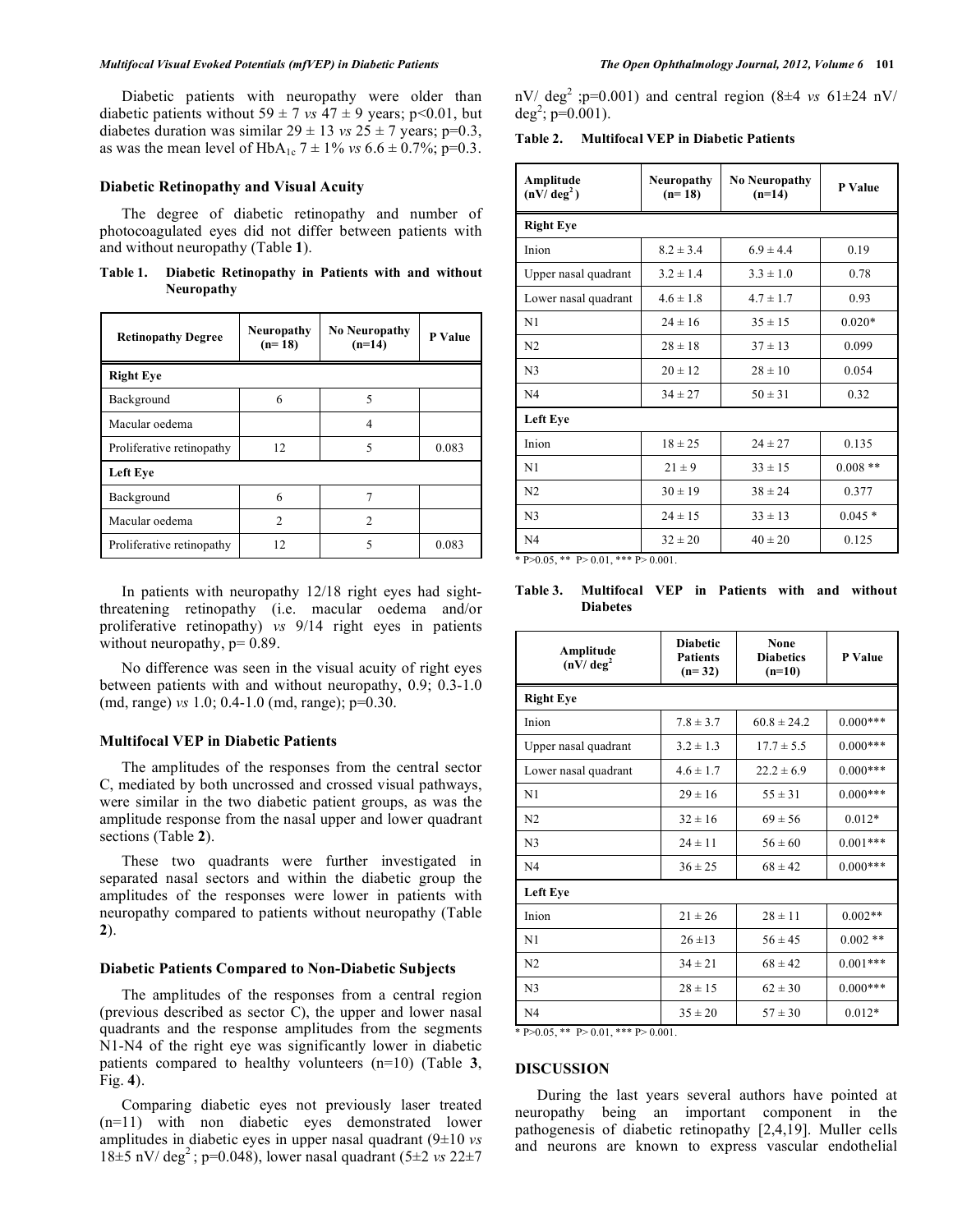#### *Multifocal Visual Evoked Potentials (mfVEP) in Diabetic Patients The Open Ophthalmology Journal, 2012, Volume 6* **101**

 Diabetic patients with neuropathy were older than diabetic patients without  $59 \pm 7$  *vs*  $47 \pm 9$  years; p<0.01, but diabetes duration was similar  $29 \pm 13$  *vs*  $25 \pm 7$  years; p=0.3, as was the mean level of  $HbA_{1c}$  7 ± 1% *vs* 6.6 ± 0.7%; p=0.3.

# **Diabetic Retinopathy and Visual Acuity**

 The degree of diabetic retinopathy and number of photocoagulated eyes did not differ between patients with and without neuropathy (Table **1**).

**Table 1. Diabetic Retinopathy in Patients with and without Neuropathy** 

| <b>Retinopathy Degree</b> | <b>Neuropathy</b><br>$(n=18)$ | <b>No Neuropathy</b><br>$(n=14)$ | P Value |  |  |
|---------------------------|-------------------------------|----------------------------------|---------|--|--|
| <b>Right Eye</b>          |                               |                                  |         |  |  |
| Background                | 6                             | 5                                |         |  |  |
| Macular oedema            |                               | 4                                |         |  |  |
| Proliferative retinopathy | 12                            | 5                                | 0.083   |  |  |
| Left Eye                  |                               |                                  |         |  |  |
| Background                | 6                             |                                  |         |  |  |
| Macular oedema            | $\mathfrak{D}$                | $\mathfrak{D}$                   |         |  |  |
| Proliferative retinopathy | 12                            | 5                                | 0.083   |  |  |

 In patients with neuropathy 12/18 right eyes had sightthreatening retinopathy (i.e. macular oedema and/or proliferative retinopathy) *vs* 9/14 right eyes in patients without neuropathy,  $p=0.89$ .

 No difference was seen in the visual acuity of right eyes between patients with and without neuropathy, 0.9; 0.3-1.0 (md, range) *vs* 1.0; 0.4-1.0 (md, range); p=0.30.

#### **Multifocal VEP in Diabetic Patients**

 The amplitudes of the responses from the central sector C, mediated by both uncrossed and crossed visual pathways, were similar in the two diabetic patient groups, as was the amplitude response from the nasal upper and lower quadrant sections (Table **2**).

 These two quadrants were further investigated in separated nasal sectors and within the diabetic group the amplitudes of the responses were lower in patients with neuropathy compared to patients without neuropathy (Table **2**).

#### **Diabetic Patients Compared to Non-Diabetic Subjects**

 The amplitudes of the responses from a central region (previous described as sector C), the upper and lower nasal quadrants and the response amplitudes from the segments N1-N4 of the right eye was significantly lower in diabetic patients compared to healthy volunteers (n=10) (Table **3**, Fig. **4**).

 Comparing diabetic eyes not previously laser treated (n=11) with non diabetic eyes demonstrated lower amplitudes in diabetic eyes in upper nasal quadrant (9±10 *vs* 18 $\pm$ 5 nV/ deg<sup>2</sup>; p=0.048), lower nasal quadrant (5 $\pm$ 2 *vs* 22 $\pm$ 7 nV/ deg<sup>2</sup> ;p=0.001) and central region  $(8\pm4 \text{ vs } 61\pm24 \text{ nV})$  $deg^2$ ; p=0.001).

|  | Table 2. | <b>Multifocal VEP in Diabetic Patients</b> |
|--|----------|--------------------------------------------|
|--|----------|--------------------------------------------|

| Amplitude<br>$(nV/deg^2)$ | Neuropathy<br>$(n=18)$ | <b>No Neuropathy</b><br>$(n=14)$ | P Value   |  |  |
|---------------------------|------------------------|----------------------------------|-----------|--|--|
| <b>Right Eye</b>          |                        |                                  |           |  |  |
| Inion                     | $8.2 \pm 3.4$          | $6.9 \pm 4.4$                    | 0.19      |  |  |
| Upper nasal quadrant      | $3.2 \pm 1.4$          | $3.3 \pm 1.0$                    | 0.78      |  |  |
| Lower nasal quadrant      | $4.6 \pm 1.8$          | $4.7 \pm 1.7$                    | 0.93      |  |  |
| N <sub>1</sub>            | $24 \pm 16$            | $35 \pm 15$                      | $0.020*$  |  |  |
| N <sub>2</sub>            | $28 \pm 18$            | $37 \pm 13$                      | 0.099     |  |  |
| N <sub>3</sub>            | $20 \pm 12$            | $28 \pm 10$                      | 0.054     |  |  |
| N <sub>4</sub>            | $34 \pm 27$            | $50 \pm 31$                      | 0.32      |  |  |
| Left Eye                  |                        |                                  |           |  |  |
| Inion                     | $18 \pm 25$            | $24 \pm 27$                      | 0.135     |  |  |
| N <sub>1</sub>            | $21 \pm 9$             | $33 \pm 15$                      | $0.008**$ |  |  |
| N <sub>2</sub>            | $30 \pm 19$            | $38 \pm 24$                      | 0.377     |  |  |
| N <sub>3</sub>            | $24 \pm 15$            | $33 \pm 13$                      | $0.045*$  |  |  |
| N <sub>4</sub>            | $32 \pm 20$            | $40 \pm 20$                      | 0.125     |  |  |

 $* P>0.05$ ,  $* P>0.01$ ,  $* * P>0.001$ .

#### **Table 3. Multifocal VEP in Patients with and without Diabetes**

| Amplitude<br>(nV/deg <sup>2</sup> ) | <b>Diabetic</b><br><b>Patients</b><br>$(n=32)$ | None<br><b>Diabetics</b><br>$(n=10)$ | P Value    |  |
|-------------------------------------|------------------------------------------------|--------------------------------------|------------|--|
| <b>Right Eye</b>                    |                                                |                                      |            |  |
| Inion                               | $7.8 \pm 3.7$                                  | $60.8 \pm 24.2$                      | $0.000***$ |  |
| Upper nasal quadrant                | $3.2 \pm 1.3$                                  | $17.7 \pm 5.5$                       | $0.000***$ |  |
| Lower nasal quadrant                | $4.6 \pm 1.7$                                  | $22.2 \pm 6.9$                       | $0.000***$ |  |
| N1                                  | $29 \pm 16$                                    | $55 \pm 31$                          | $0.000***$ |  |
| N <sub>2</sub>                      | $32 \pm 16$                                    | $69 \pm 56$                          | $0.012*$   |  |
| N <sub>3</sub>                      | $24 \pm 11$                                    | $56 \pm 60$                          | $0.001***$ |  |
| N <sub>4</sub>                      | $36 \pm 25$                                    | $68 \pm 42$                          | $0.000***$ |  |
| Left Eye                            |                                                |                                      |            |  |
| Inion                               | $21 \pm 26$                                    | $28 \pm 11$                          | $0.002**$  |  |
| N1                                  | $26 + 13$                                      | $56 \pm 45$                          | $0.002$ ** |  |
| N <sub>2</sub>                      | $34 \pm 21$                                    | $68 \pm 42$                          | $0.001***$ |  |
| N <sub>3</sub>                      | $28 \pm 15$                                    | $62 \pm 30$                          | $0.000***$ |  |
| N <sub>4</sub>                      | $35 \pm 20$                                    | $57 \pm 30$                          | $0.012*$   |  |

 $* \mathbf{P} > 0.05$ ,  $* \mathbf{P} > 0.01$ ,  $* \mathbf{P} > 0.001$ .

# **DISCUSSION**

 During the last years several authors have pointed at neuropathy being an important component in the pathogenesis of diabetic retinopathy [2,4,19]. Muller cells and neurons are known to express vascular endothelial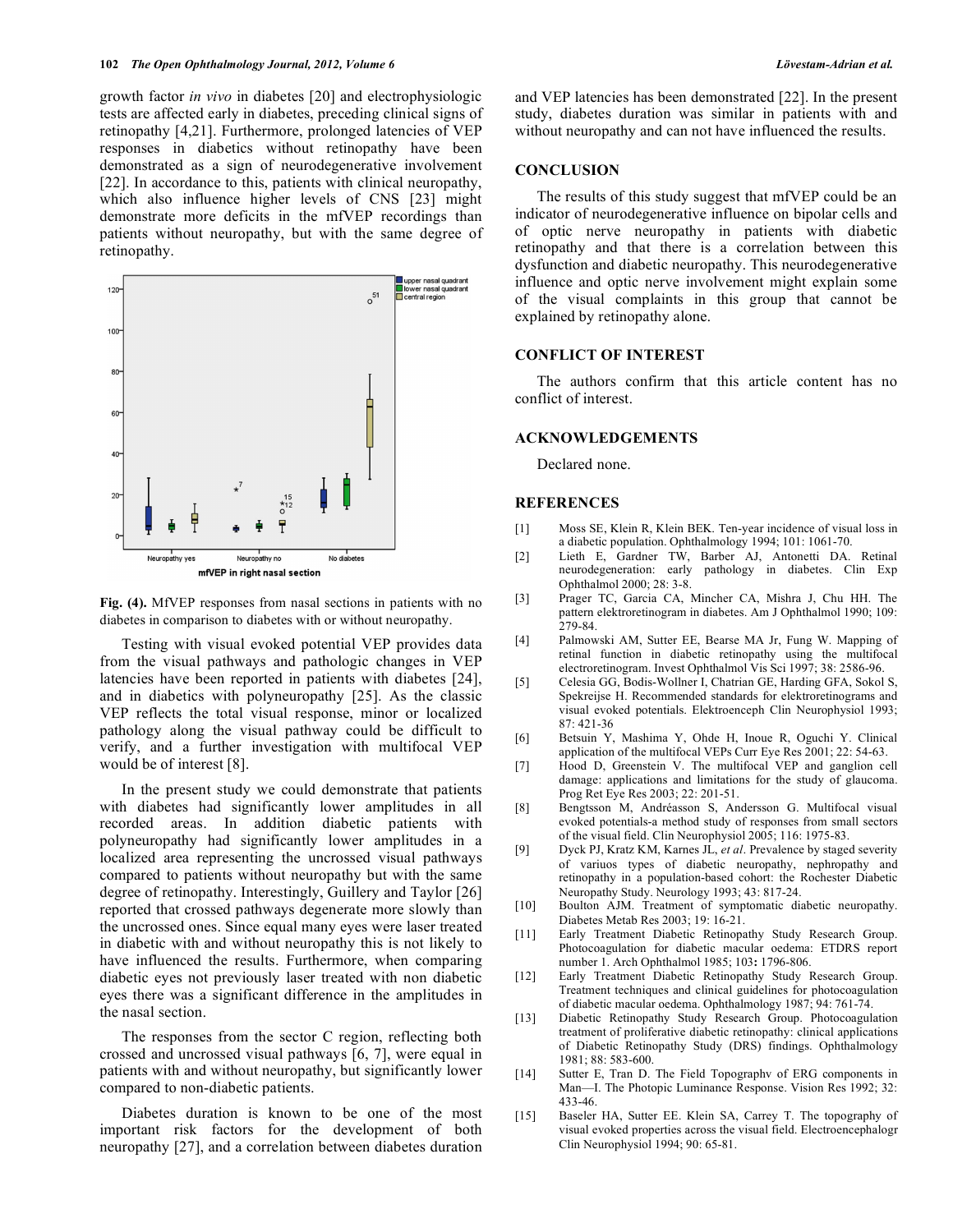growth factor *in vivo* in diabetes [20] and electrophysiologic tests are affected early in diabetes, preceding clinical signs of retinopathy [4,21]. Furthermore, prolonged latencies of VEP responses in diabetics without retinopathy have been demonstrated as a sign of neurodegenerative involvement [22]. In accordance to this, patients with clinical neuropathy, which also influence higher levels of CNS [23] might demonstrate more deficits in the mfVEP recordings than patients without neuropathy, but with the same degree of retinopathy.



**Fig. (4).** MfVEP responses from nasal sections in patients with no diabetes in comparison to diabetes with or without neuropathy.

 Testing with visual evoked potential VEP provides data from the visual pathways and pathologic changes in VEP latencies have been reported in patients with diabetes [24], and in diabetics with polyneuropathy [25]. As the classic VEP reflects the total visual response, minor or localized pathology along the visual pathway could be difficult to verify, and a further investigation with multifocal VEP would be of interest [8].

 In the present study we could demonstrate that patients with diabetes had significantly lower amplitudes in all recorded areas. In addition diabetic patients with polyneuropathy had significantly lower amplitudes in a localized area representing the uncrossed visual pathways compared to patients without neuropathy but with the same degree of retinopathy. Interestingly, Guillery and Taylor [26] reported that crossed pathways degenerate more slowly than the uncrossed ones. Since equal many eyes were laser treated in diabetic with and without neuropathy this is not likely to have influenced the results. Furthermore, when comparing diabetic eyes not previously laser treated with non diabetic eyes there was a significant difference in the amplitudes in the nasal section.

 The responses from the sector C region, reflecting both crossed and uncrossed visual pathways [6, 7], were equal in patients with and without neuropathy, but significantly lower compared to non-diabetic patients.

 Diabetes duration is known to be one of the most important risk factors for the development of both neuropathy [27], and a correlation between diabetes duration

and VEP latencies has been demonstrated [22]. In the present study, diabetes duration was similar in patients with and without neuropathy and can not have influenced the results.

#### **CONCLUSION**

 The results of this study suggest that mfVEP could be an indicator of neurodegenerative influence on bipolar cells and of optic nerve neuropathy in patients with diabetic retinopathy and that there is a correlation between this dysfunction and diabetic neuropathy. This neurodegenerative influence and optic nerve involvement might explain some of the visual complaints in this group that cannot be explained by retinopathy alone.

#### **CONFLICT OF INTEREST**

 The authors confirm that this article content has no conflict of interest.

#### **ACKNOWLEDGEMENTS**

Declared none.

#### **REFERENCES**

- [1] Moss SE, Klein R, Klein BEK. Ten-year incidence of visual loss in a diabetic population. Ophthalmology 1994; 101: 1061-70.
- [2] Lieth E, Gardner TW, Barber AJ, Antonetti DA. Retinal neurodegeneration: early pathology in diabetes. Clin Exp Ophthalmol 2000; 28: 3-8.
- [3] Prager TC, Garcia CA, Mincher CA, Mishra J, Chu HH. The pattern elektroretinogram in diabetes. Am J Ophthalmol 1990; 109: 279-84.
- [4] Palmowski AM, Sutter EE, Bearse MA Jr, Fung W. Mapping of retinal function in diabetic retinopathy using the multifocal electroretinogram. Invest Ophthalmol Vis Sci 1997; 38: 2586-96.
- [5] Celesia GG, Bodis-Wollner I, Chatrian GE, Harding GFA, Sokol S, Spekreijse H. Recommended standards for elektroretinograms and visual evoked potentials. Elektroenceph Clin Neurophysiol 1993;  $87 \cdot 421 - 36$
- [6] Betsuin Y, Mashima Y, Ohde H, Inoue R, Oguchi Y. Clinical application of the multifocal VEPs Curr Eye Res 2001; 22: 54-63.
- [7] Hood D, Greenstein V. The multifocal VEP and ganglion cell damage: applications and limitations for the study of glaucoma. Prog Ret Eye Res 2003; 22: 201-51.
- [8] Bengtsson M, Andréasson S, Andersson G. Multifocal visual evoked potentials-a method study of responses from small sectors of the visual field. Clin Neurophysiol 2005; 116: 1975-83.
- [9] Dyck PJ, Kratz KM, Karnes JL, *et al*. Prevalence by staged severity of variuos types of diabetic neuropathy, nephropathy and retinopathy in a population-based cohort: the Rochester Diabetic Neuropathy Study. Neurology 1993; 43: 817-24.
- [10] Boulton AJM. Treatment of symptomatic diabetic neuropathy. Diabetes Metab Res 2003; 19: 16-21.
- [11] Early Treatment Diabetic Retinopathy Study Research Group. Photocoagulation for diabetic macular oedema: ETDRS report number 1. Arch Ophthalmol 1985; 103**:** 1796-806.
- [12] Early Treatment Diabetic Retinopathy Study Research Group. Treatment techniques and clinical guidelines for photocoagulation of diabetic macular oedema. Ophthalmology 1987; 94: 761-74.
- [13] Diabetic Retinopathy Study Research Group. Photocoagulation treatment of proliferative diabetic retinopathy: clinical applications of Diabetic Retinopathy Study (DRS) findings. Ophthalmology 1981; 88: 583-600.
- [14] Sutter E, Tran D. The Field Topographv of ERG components in Man—I. The Photopic Luminance Response. Vision Res 1992; 32: 433-46.
- [15] Baseler HA, Sutter EE. Klein SA, Carrey T. The topography of visual evoked properties across the visual field. Electroencephalogr Clin Neurophysiol 1994; 90: 65-81.